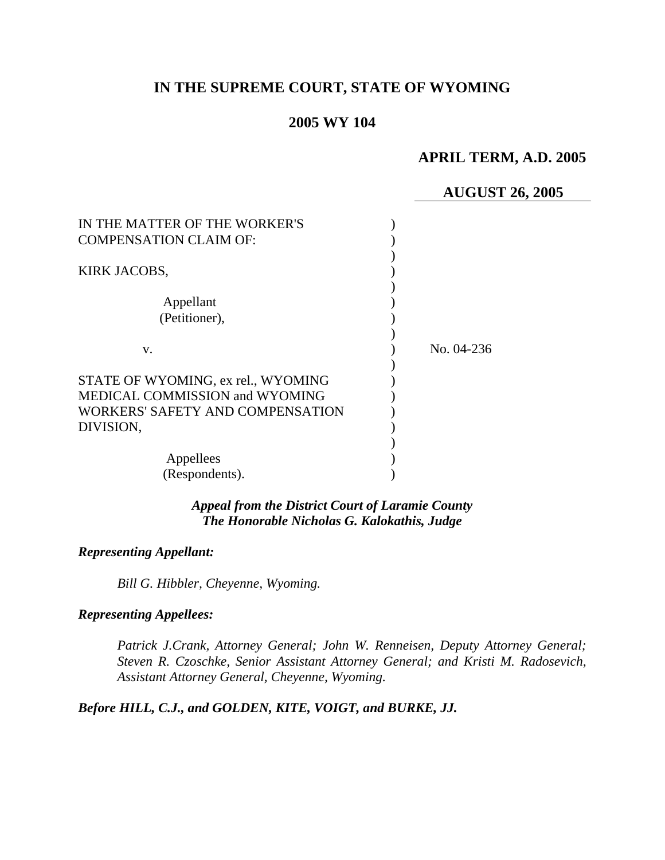# **IN THE SUPREME COURT, STATE OF WYOMING**

## **2005 WY 104**

## **APRIL TERM, A.D. 2005**

## **AUGUST 26, 2005**

| IN THE MATTER OF THE WORKER'S<br><b>COMPENSATION CLAIM OF:</b>                                           |            |
|----------------------------------------------------------------------------------------------------------|------------|
| KIRK JACOBS,                                                                                             |            |
| Appellant<br>(Petitioner),                                                                               |            |
| V.                                                                                                       | No. 04-236 |
| STATE OF WYOMING, ex rel., WYOMING<br>MEDICAL COMMISSION and WYOMING<br>WORKERS' SAFETY AND COMPENSATION |            |
| DIVISION,                                                                                                |            |
| Appellees<br>(Respondents).                                                                              |            |

### *Appeal from the District Court of Laramie County The Honorable Nicholas G. Kalokathis, Judge*

### *Representing Appellant:*

*Bill G. Hibbler, Cheyenne, Wyoming.* 

#### *Representing Appellees:*

*Patrick J.Crank, Attorney General; John W. Renneisen, Deputy Attorney General; Steven R. Czoschke, Senior Assistant Attorney General; and Kristi M. Radosevich, Assistant Attorney General, Cheyenne, Wyoming.* 

*Before HILL, C.J., and GOLDEN, KITE, VOIGT, and BURKE, JJ.*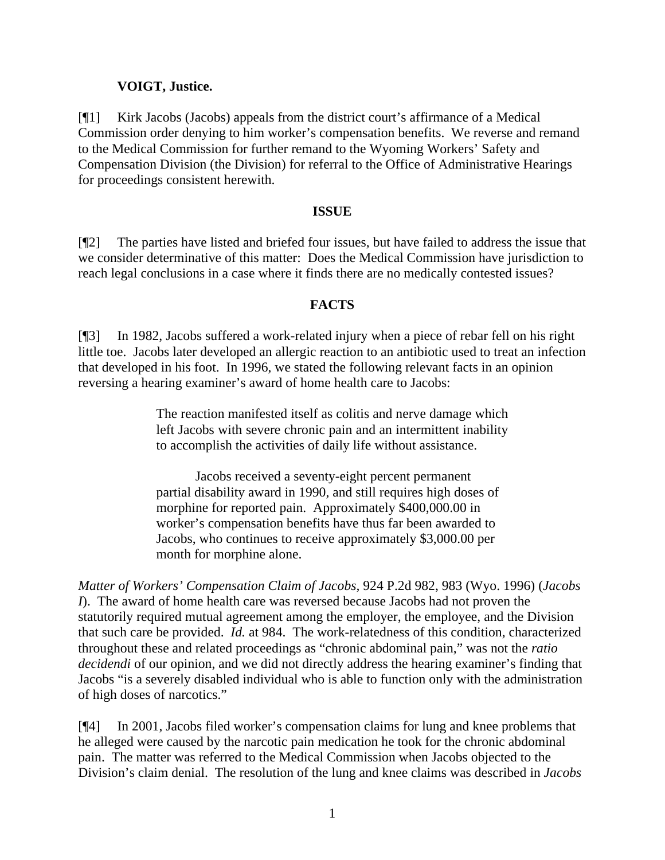### **VOIGT, Justice.**

[¶1] Kirk Jacobs (Jacobs) appeals from the district court's affirmance of a Medical Commission order denying to him worker's compensation benefits. We reverse and remand to the Medical Commission for further remand to the Wyoming Workers' Safety and Compensation Division (the Division) for referral to the Office of Administrative Hearings for proceedings consistent herewith.

#### **ISSUE**

[¶2] The parties have listed and briefed four issues, but have failed to address the issue that we consider determinative of this matter: Does the Medical Commission have jurisdiction to reach legal conclusions in a case where it finds there are no medically contested issues?

#### **FACTS**

[¶3] In 1982, Jacobs suffered a work-related injury when a piece of rebar fell on his right little toe. Jacobs later developed an allergic reaction to an antibiotic used to treat an infection that developed in his foot. In 1996, we stated the following relevant facts in an opinion reversing a hearing examiner's award of home health care to Jacobs:

> The reaction manifested itself as colitis and nerve damage which left Jacobs with severe chronic pain and an intermittent inability to accomplish the activities of daily life without assistance.

Jacobs received a seventy-eight percent permanent partial disability award in 1990, and still requires high doses of morphine for reported pain. Approximately \$400,000.00 in worker's compensation benefits have thus far been awarded to Jacobs, who continues to receive approximately \$3,000.00 per month for morphine alone.

*Matter of Workers' Compensation Claim of Jacobs,* 924 P.2d 982, 983 (Wyo. 1996) (*Jacobs I*). The award of home health care was reversed because Jacobs had not proven the statutorily required mutual agreement among the employer, the employee, and the Division that such care be provided. *Id.* at 984. The work-relatedness of this condition, characterized throughout these and related proceedings as "chronic abdominal pain," was not the *ratio decidendi* of our opinion, and we did not directly address the hearing examiner's finding that Jacobs "is a severely disabled individual who is able to function only with the administration of high doses of narcotics."

[¶4] In 2001, Jacobs filed worker's compensation claims for lung and knee problems that he alleged were caused by the narcotic pain medication he took for the chronic abdominal pain. The matter was referred to the Medical Commission when Jacobs objected to the Division's claim denial. The resolution of the lung and knee claims was described in *Jacobs*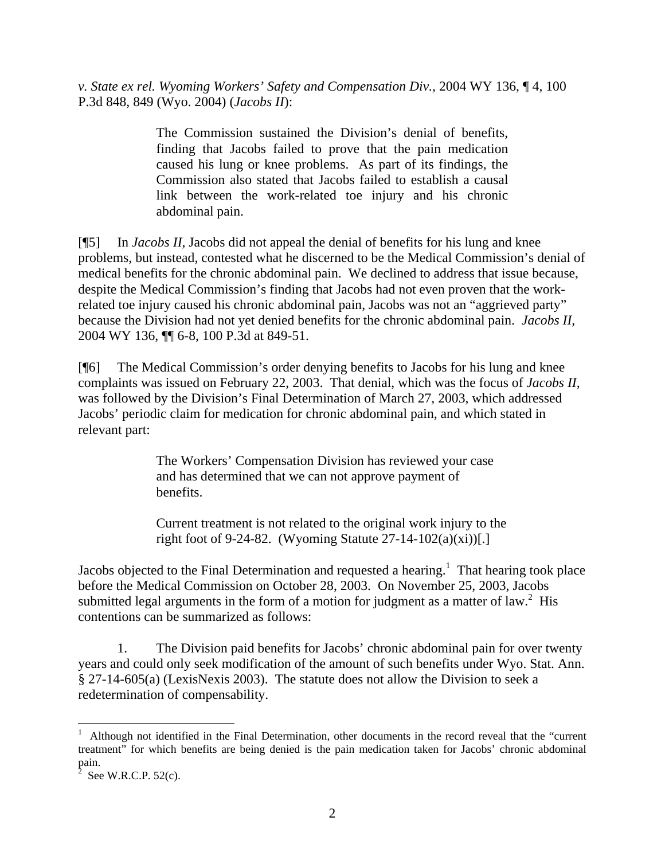*v. State ex rel. Wyoming Workers' Safety and Compensation Div.,* 2004 WY 136, ¶ 4, 100 P.3d 848, 849 (Wyo. 2004) (*Jacobs II*):

> The Commission sustained the Division's denial of benefits, finding that Jacobs failed to prove that the pain medication caused his lung or knee problems. As part of its findings, the Commission also stated that Jacobs failed to establish a causal link between the work-related toe injury and his chronic abdominal pain.

[¶5] In *Jacobs II,* Jacobs did not appeal the denial of benefits for his lung and knee problems, but instead, contested what he discerned to be the Medical Commission's denial of medical benefits for the chronic abdominal pain. We declined to address that issue because, despite the Medical Commission's finding that Jacobs had not even proven that the workrelated toe injury caused his chronic abdominal pain, Jacobs was not an "aggrieved party" because the Division had not yet denied benefits for the chronic abdominal pain. *Jacobs II,*  2004 WY 136, ¶¶ 6-8, 100 P.3d at 849-51.

[¶6] The Medical Commission's order denying benefits to Jacobs for his lung and knee complaints was issued on February 22, 2003. That denial, which was the focus of *Jacobs II,* was followed by the Division's Final Determination of March 27, 2003, which addressed Jacobs' periodic claim for medication for chronic abdominal pain, and which stated in relevant part:

> The Workers' Compensation Division has reviewed your case and has determined that we can not approve payment of benefits.

Current treatment is not related to the original work injury to the right foot of 9-24-82. (Wyoming Statute  $27-14-102(a)(xi)$ ].

Jacobsobjected to the Final Determination and requested a hearing.<sup>1</sup> That hearing took place before the Medical Commission on October 28, 2003. On November 25, 2003, Jacobs submitted legal arguments in the form of a motion for judgment as a matter of law.<sup>[2](#page-2-1)</sup> His contentions can be summarized as follows:

1. The Division paid benefits for Jacobs' chronic abdominal pain for over twenty years and could only seek modification of the amount of such benefits under Wyo. Stat. Ann. § 27-14-605(a) (LexisNexis 2003). The statute does not allow the Division to seek a redetermination of compensability.

 $\overline{a}$ 

<span id="page-2-0"></span><sup>1</sup> Although not identified in the Final Determination, other documents in the record reveal that the "current treatment" for which benefits are being denied is the pain medication taken for Jacobs' chronic abdominal pain. 2

<span id="page-2-1"></span>See W.R.C.P. 52(c).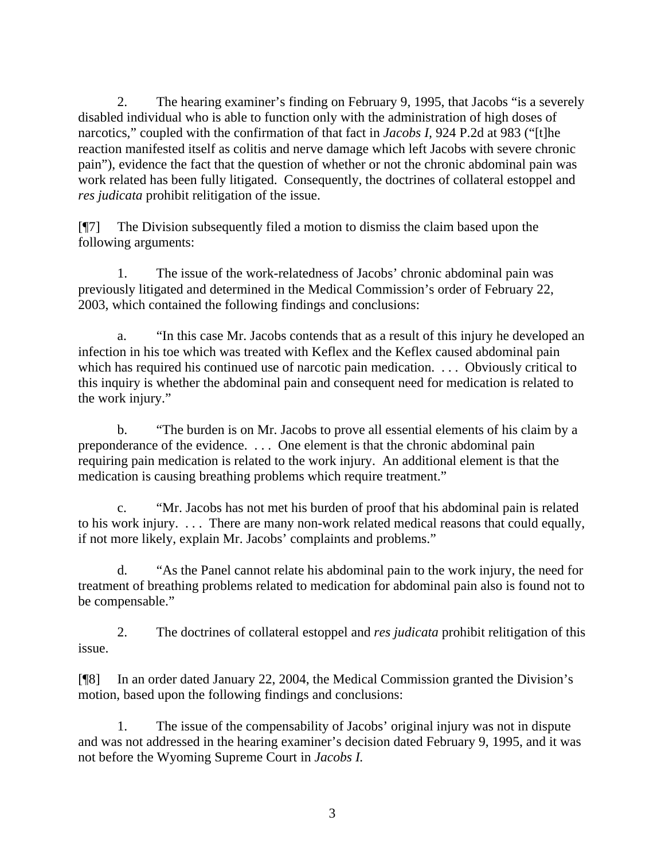2. The hearing examiner's finding on February 9, 1995, that Jacobs "is a severely disabled individual who is able to function only with the administration of high doses of narcotics," coupled with the confirmation of that fact in *Jacobs I,* 924 P.2d at 983 ("[t]he reaction manifested itself as colitis and nerve damage which left Jacobs with severe chronic pain"), evidence the fact that the question of whether or not the chronic abdominal pain was work related has been fully litigated. Consequently, the doctrines of collateral estoppel and *res judicata* prohibit relitigation of the issue.

[¶7] The Division subsequently filed a motion to dismiss the claim based upon the following arguments:

1. The issue of the work-relatedness of Jacobs' chronic abdominal pain was previously litigated and determined in the Medical Commission's order of February 22, 2003, which contained the following findings and conclusions:

a. "In this case Mr. Jacobs contends that as a result of this injury he developed an infection in his toe which was treated with Keflex and the Keflex caused abdominal pain which has required his continued use of narcotic pain medication. ... Obviously critical to this inquiry is whether the abdominal pain and consequent need for medication is related to the work injury."

b. "The burden is on Mr. Jacobs to prove all essential elements of his claim by a preponderance of the evidence. . . . One element is that the chronic abdominal pain requiring pain medication is related to the work injury. An additional element is that the medication is causing breathing problems which require treatment."

c. "Mr. Jacobs has not met his burden of proof that his abdominal pain is related to his work injury. . . . There are many non-work related medical reasons that could equally, if not more likely, explain Mr. Jacobs' complaints and problems."

d. "As the Panel cannot relate his abdominal pain to the work injury, the need for treatment of breathing problems related to medication for abdominal pain also is found not to be compensable."

2. The doctrines of collateral estoppel and *res judicata* prohibit relitigation of this issue.

[¶8] In an order dated January 22, 2004, the Medical Commission granted the Division's motion, based upon the following findings and conclusions:

1. The issue of the compensability of Jacobs' original injury was not in dispute and was not addressed in the hearing examiner's decision dated February 9, 1995, and it was not before the Wyoming Supreme Court in *Jacobs I.*

3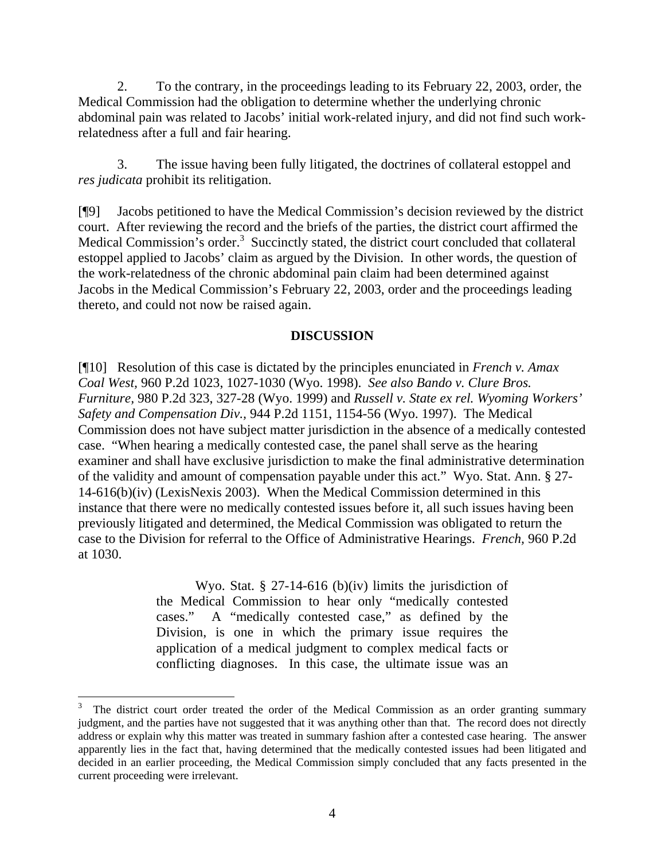2. To the contrary, in the proceedings leading to its February 22, 2003, order, the Medical Commission had the obligation to determine whether the underlying chronic abdominal pain was related to Jacobs' initial work-related injury, and did not find such workrelatedness after a full and fair hearing.

3. The issue having been fully litigated, the doctrines of collateral estoppel and *res judicata* prohibit its relitigation.

[¶9] Jacobs petitioned to have the Medical Commission's decision reviewed by the district court. After reviewing the record and the briefs of the parties, the district court affirmed the Medical Commission's order.<sup>[3](#page-4-0)</sup> Succinctly stated, the district court concluded that collateral estoppel applied to Jacobs' claim as argued by the Division. In other words, the question of the work-relatedness of the chronic abdominal pain claim had been determined against Jacobs in the Medical Commission's February 22, 2003, order and the proceedings leading thereto, and could not now be raised again.

### **DISCUSSION**

[¶10] Resolution of this case is dictated by the principles enunciated in *French v. Amax Coal West,* 960 P.2d 1023, 1027-1030 (Wyo. 1998). *See also Bando v. Clure Bros. Furniture,* 980 P.2d 323, 327-28 (Wyo. 1999) and *Russell v. State ex rel. Wyoming Workers' Safety and Compensation Div.,* 944 P.2d 1151, 1154-56 (Wyo. 1997). The Medical Commission does not have subject matter jurisdiction in the absence of a medically contested case. "When hearing a medically contested case, the panel shall serve as the hearing examiner and shall have exclusive jurisdiction to make the final administrative determination of the validity and amount of compensation payable under this act." Wyo. Stat. Ann. § 27- 14-616(b)(iv) (LexisNexis 2003). When the Medical Commission determined in this instance that there were no medically contested issues before it, all such issues having been previously litigated and determined, the Medical Commission was obligated to return the case to the Division for referral to the Office of Administrative Hearings. *French,* 960 P.2d at 1030.

> Wyo. Stat. § 27-14-616 (b)(iv) limits the jurisdiction of the Medical Commission to hear only "medically contested cases." A "medically contested case," as defined by the Division, is one in which the primary issue requires the application of a medical judgment to complex medical facts or conflicting diagnoses. In this case, the ultimate issue was an

 $\overline{a}$ 

<span id="page-4-0"></span><sup>3</sup> The district court order treated the order of the Medical Commission as an order granting summary judgment, and the parties have not suggested that it was anything other than that. The record does not directly address or explain why this matter was treated in summary fashion after a contested case hearing. The answer apparently lies in the fact that, having determined that the medically contested issues had been litigated and decided in an earlier proceeding, the Medical Commission simply concluded that any facts presented in the current proceeding were irrelevant.